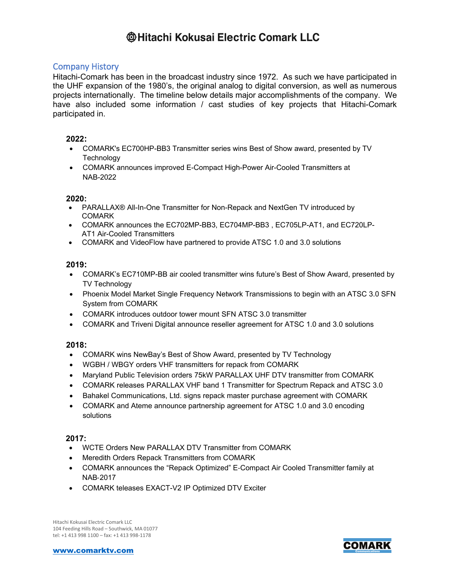## **Company History**

Hitachi-Comark has been in the broadcast industry since 1972. As such we have participated in the UHF expansion of the 1980's, the original analog to digital conversion, as well as numerous projects internationally. The timeline below details major accomplishments of the company. We have also included some information / cast studies of key projects that Hitachi-Comark participated in.

## 2022:

- COMARK's EC700HP-BB3 Transmitter series wins Best of Show award, presented by TV Technology
- COMARK announces improved E-Compact High-Power Air-Cooled Transmitters at **NAB-2022**

## $2020:$

- PARALLAX® All-In-One Transmitter for Non-Repack and NextGen TV introduced by **COMARK**
- COMARK announces the EC702MP-BB3, EC704MP-BB3, EC705LP-AT1, and EC720LP-**AT1 Air-Cooled Transmitters**
- COMARK and VideoFlow have partnered to provide ATSC 1.0 and 3.0 solutions

## $2019 -$

- COMARK's EC710MP-BB air cooled transmitter wins future's Best of Show Award, presented by TV Technology
- Phoenix Model Market Single Frequency Network Transmissions to begin with an ATSC 3.0 SFN  $\bullet$ System from COMARK
- COMARK introduces outdoor tower mount SFN ATSC 3.0 transmitter
- COMARK and Triveni Digital announce reseller agreement for ATSC 1.0 and 3.0 solutions

## 2018:

- COMARK wins NewBay's Best of Show Award, presented by TV Technology  $\bullet$
- WGBH / WBGY orders VHF transmitters for repack from COMARK
- Maryland Public Television orders 75kW PARALLAX UHF DTV transmitter from COMARK
- COMARK releases PARALLAX VHF band 1 Transmitter for Spectrum Repack and ATSC 3.0
- Bahakel Communications, Ltd. signs repack master purchase agreement with COMARK
- COMARK and Ateme announce partnership agreement for ATSC 1.0 and 3.0 encoding  $\bullet$ solutions

### $2017:$

- WCTE Orders New PARALLAX DTV Transmitter from COMARK
- Meredith Orders Repack Transmitters from COMARK
- COMARK announces the "Repack Optimized" E-Compact Air Cooled Transmitter family at  $\bullet$ **NAB-2017**
- COMARK teleases EXACT-V2 IP Optimized DTV Exciter

Hitachi Kokusai Electric Comark LLC 104 Feeding Hills Road - Southwick, MA 01077 tel: +1 413 998 1100 - fax: +1 413 998-1178

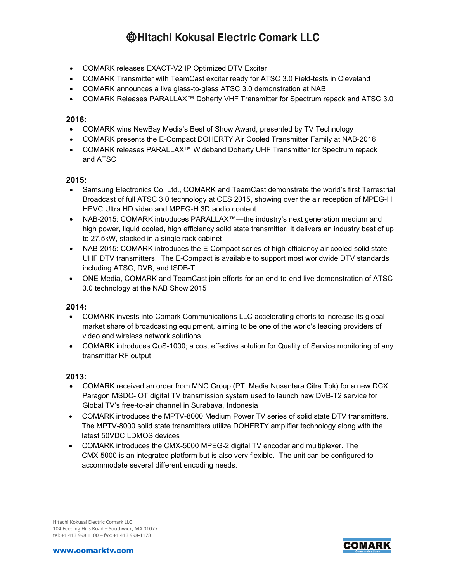- COMARK releases EXACT-V2 IP Optimized DTV Exciter
- COMARK Transmitter with TeamCast exciter ready for ATSC 3.0 Field-tests in Cleveland
- COMARK announces a live glass-to-glass ATSC 3.0 demonstration at NAB
- COMARK Releases PARALLAX™ Doherty VHF Transmitter for Spectrum repack and ATSC 3.0

### **2016:**

- COMARK wins NewBay Media's Best of Show Award, presented by TV Technology
- COMARK presents the E‐Compact DOHERTY Air Cooled Transmitter Family at NAB‐2016
- COMARK releases PARALLAX™ Wideband Doherty UHF Transmitter for Spectrum repack and ATSC

### **2015:**

- Samsung Electronics Co. Ltd., COMARK and TeamCast demonstrate the world's first Terrestrial Broadcast of full ATSC 3.0 technology at CES 2015, showing over the air reception of MPEG-H HEVC Ultra HD video and MPEG-H 3D audio content
- NAB-2015: COMARK introduces PARALLAX™—the industry's next generation medium and high power, liquid cooled, high efficiency solid state transmitter. It delivers an industry best of up to 27.5kW, stacked in a single rack cabinet
- NAB-2015: COMARK introduces the E-Compact series of high efficiency air cooled solid state UHF DTV transmitters. The E-Compact is available to support most worldwide DTV standards including ATSC, DVB, and ISDB-T
- ONE Media, COMARK and TeamCast join efforts for an end-to-end live demonstration of ATSC 3.0 technology at the NAB Show 2015

### **2014:**

- COMARK invests into Comark Communications LLC accelerating efforts to increase its global market share of broadcasting equipment, aiming to be one of the world's leading providers of video and wireless network solutions
- COMARK introduces QoS-1000; a cost effective solution for Quality of Service monitoring of any transmitter RF output

### **2013:**

- COMARK received an order from MNC Group (PT. Media Nusantara Citra Tbk) for a new DCX Paragon MSDC-IOT digital TV transmission system used to launch new DVB-T2 service for Global TV's free-to-air channel in Surabaya, Indonesia
- COMARK introduces the MPTV-8000 Medium Power TV series of solid state DTV transmitters. The MPTV-8000 solid state transmitters utilize DOHERTY amplifier technology along with the latest 50VDC LDMOS devices
- COMARK introduces the CMX-5000 MPEG-2 digital TV encoder and multiplexer. The CMX-5000 is an integrated platform but is also very flexible. The unit can be configured to accommodate several different encoding needs.

Hitachi Kokusai Electric Comark LLC 104 Feeding Hills Road – Southwick, MA 01077 tel: +1 413 998 1100 – fax: +1 413 998-1178

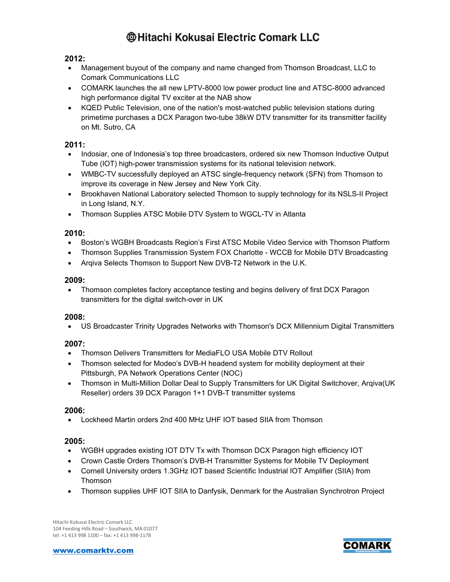### **2012:**

- Management buyout of the company and name changed from Thomson Broadcast, LLC to Comark Communications LLC
- COMARK launches the all new LPTV-8000 low power product line and ATSC-8000 advanced high performance digital TV exciter at the NAB show
- KQED Public Television, one of the nation's most-watched public television stations during primetime purchases a DCX Paragon two-tube 38kW DTV transmitter for its transmitter facility on Mt. Sutro, CA

## **2011:**

- Indosiar, one of Indonesia's top three broadcasters, ordered six new Thomson Inductive Output Tube (IOT) high-power transmission systems for its national television network.
- WMBC-TV successfully deployed an ATSC single-frequency network (SFN) from Thomson to improve its coverage in New Jersey and New York City.
- Brookhaven National Laboratory selected Thomson to supply technology for its NSLS-II Project in Long Island, N.Y.
- Thomson Supplies ATSC Mobile DTV System to WGCL-TV in Atlanta

### **2010:**

- Boston's WGBH Broadcasts Region's First ATSC Mobile Video Service with Thomson Platform
- Thomson Supplies Transmission System FOX Charlotte WCCB for Mobile DTV Broadcasting
- Arqiva Selects Thomson to Support New DVB-T2 Network in the U.K.

### **2009:**

• Thomson completes factory acceptance testing and begins delivery of first DCX Paragon transmitters for the digital switch-over in UK

### **2008:**

• US Broadcaster Trinity Upgrades Networks with Thomson's DCX Millennium Digital Transmitters

### **2007:**

- Thomson Delivers Transmitters for MediaFLO USA Mobile DTV Rollout
- Thomson selected for Modeo's DVB-H headend system for mobility deployment at their Pittsburgh, PA Network Operations Center (NOC)
- Thomson in Multi-Million Dollar Deal to Supply Transmitters for UK Digital Switchover, Arqiva(UK Reseller) orders 39 DCX Paragon 1+1 DVB-T transmitter systems

### **2006:**

• Lockheed Martin orders 2nd 400 MHz UHF IOT based SIIA from Thomson

### **2005:**

- WGBH upgrades existing IOT DTV Tx with Thomson DCX Paragon high efficiency IOT
- Crown Castle Orders Thomson's DVB-H Transmitter Systems for Mobile TV Deployment
- Cornell University orders 1.3GHz IOT based Scientific Industrial IOT Amplifier (SIIA) from Thomson
- Thomson supplies UHF IOT SIIA to Danfysik, Denmark for the Australian Synchrotron Project

Hitachi Kokusai Electric Comark LLC 104 Feeding Hills Road – Southwick, MA 01077 tel: +1 413 998 1100 – fax: +1 413 998-1178

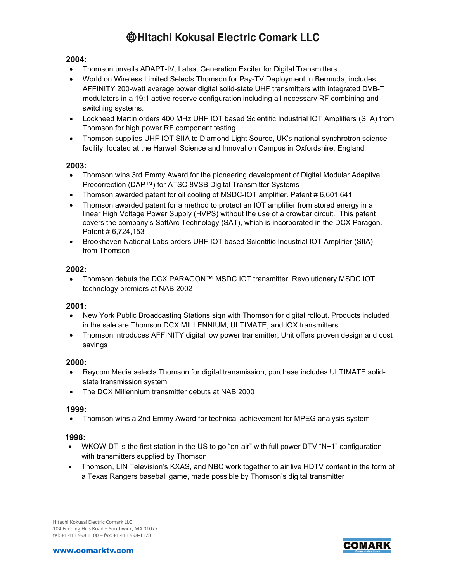## **2004:**

- Thomson unveils ADAPT-IV, Latest Generation Exciter for Digital Transmitters
- World on Wireless Limited Selects Thomson for Pay-TV Deployment in Bermuda, includes AFFINITY 200-watt average power digital solid-state UHF transmitters with integrated DVB-T modulators in a 19:1 active reserve configuration including all necessary RF combining and switching systems.
- Lockheed Martin orders 400 MHz UHF IOT based Scientific Industrial IOT Amplifiers (SIIA) from Thomson for high power RF component testing
- Thomson supplies UHF IOT SIIA to Diamond Light Source, UK's national synchrotron science facility, located at the Harwell Science and Innovation Campus in Oxfordshire, England

### **2003:**

- Thomson wins 3rd Emmy Award for the pioneering development of Digital Modular Adaptive Precorrection (DAP™) for ATSC 8VSB Digital Transmitter Systems
- Thomson awarded patent for oil cooling of MSDC-IOT amplifier. Patent # 6,601,641
- Thomson awarded patent for a method to protect an IOT amplifier from stored energy in a linear High Voltage Power Supply (HVPS) without the use of a crowbar circuit. This patent covers the company's SoftArc Technology (SAT), which is incorporated in the DCX Paragon. Patent # 6,724,153
- Brookhaven National Labs orders UHF IOT based Scientific Industrial IOT Amplifier (SIIA) from Thomson

### **2002:**

• Thomson debuts the DCX PARAGON™ MSDC IOT transmitter, Revolutionary MSDC IOT technology premiers at NAB 2002

### **2001:**

- New York Public Broadcasting Stations sign with Thomson for digital rollout. Products included in the sale are Thomson DCX MILLENNIUM, ULTIMATE, and IOX transmitters
- Thomson introduces AFFINITY digital low power transmitter, Unit offers proven design and cost savings

#### **2000:**

- Raycom Media selects Thomson for digital transmission, purchase includes ULTIMATE solidstate transmission system
- The DCX Millennium transmitter debuts at NAB 2000

#### **1999:**

• Thomson wins a 2nd Emmy Award for technical achievement for MPEG analysis system

#### **1998:**

- WKOW-DT is the first station in the US to go "on-air" with full power DTV "N+1" configuration with transmitters supplied by Thomson
- Thomson, LIN Television's KXAS, and NBC work together to air live HDTV content in the form of a Texas Rangers baseball game, made possible by Thomson's digital transmitter

Hitachi Kokusai Electric Comark LLC 104 Feeding Hills Road – Southwick, MA 01077 tel: +1 413 998 1100 – fax: +1 413 998-1178



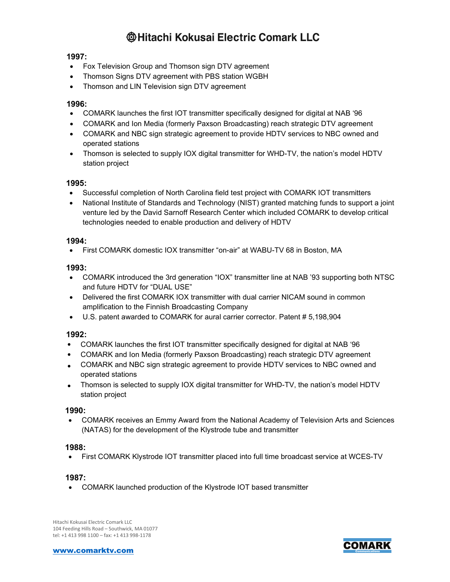## **1997:**

- Fox Television Group and Thomson sign DTV agreement
- Thomson Signs DTV agreement with PBS station WGBH
- Thomson and LIN Television sign DTV agreement

### **1996:**

- COMARK launches the first IOT transmitter specifically designed for digital at NAB '96
- COMARK and Ion Media (formerly Paxson Broadcasting) reach strategic DTV agreement
- COMARK and NBC sign strategic agreement to provide HDTV services to NBC owned and operated stations
- Thomson is selected to supply IOX digital transmitter for WHD-TV, the nation's model HDTV station project

### **1995:**

- Successful completion of North Carolina field test project with COMARK IOT transmitters
- National Institute of Standards and Technology (NIST) granted matching funds to support a joint venture led by the David Sarnoff Research Center which included COMARK to develop critical technologies needed to enable production and delivery of HDTV

### **1994:**

• First COMARK domestic IOX transmitter "on-air" at WABU-TV 68 in Boston, MA

### **1993:**

- COMARK introduced the 3rd generation "IOX" transmitter line at NAB '93 supporting both NTSC and future HDTV for "DUAL USE"
- Delivered the first COMARK IOX transmitter with dual carrier NICAM sound in common amplification to the Finnish Broadcasting Company
- U.S. patent awarded to COMARK for aural carrier corrector. Patent # 5,198,904

### **1992:**

- COMARK launches the first IOT transmitter specifically designed for digital at NAB '96
- COMARK and Ion Media (formerly Paxson Broadcasting) reach strategic DTV agreement
- COMARK and NBC sign strategic agreement to provide HDTV services to NBC owned and operated stations
- Thomson is selected to supply IOX digital transmitter for WHD-TV, the nation's model HDTV station project

### **1990:**

• COMARK receives an Emmy Award from the National Academy of Television Arts and Sciences (NATAS) for the development of the Klystrode tube and transmitter

### **1988:**

• First COMARK Klystrode IOT transmitter placed into full time broadcast service at WCES-TV

### **1987:**

• COMARK launched production of the Klystrode IOT based transmitter

Hitachi Kokusai Electric Comark LLC 104 Feeding Hills Road – Southwick, MA 01077 tel: +1 413 998 1100 – fax: +1 413 998-1178